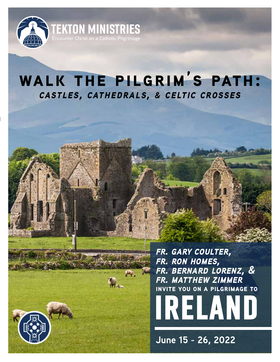

# **walk the pilgrim's path:** *castles, cathedrals, & celtic crosses*

*fr. gary coulter, fr. ron homes, fr. bernard lorenz, & fr. matthew zimmer* **invite you on a pilgrimage to**



**June 15 - 26, 2022**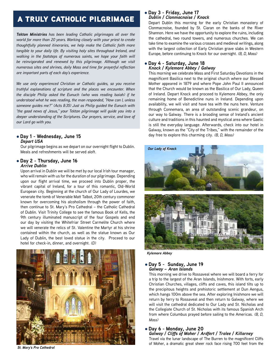# a truly catholic pilgrimage

*Tekton Ministries has been leading Catholic pilgrimages all over the world for more than 20 years. Working closely with your priest to create thoughtfully planned itineraries, we help make the Catholic faith more tangible to your daily life. By visiting holy sites throughout Ireland, and walking in the footsteps of numerous saints, we hope your faith will be reinvigorated and renewed by this pilgrimage. Although we visit numerous sites and shrines, daily Mass and time for prayerful reflection are important parts of each day's experience.*

*We use only experienced Christian or Catholic guides, so you receive truthful explanations of scripture and the places we encounter. When the disciple Philip asked the Eunuch (who was reading Isaiah) if he understood what he was reading, the man responded, "How can I, unless someone guides me?" (Acts 8:35) Just as Philip guided the Eunuch with "the good news of Jesus," your Tekton pilgrimage will guide you into a deeper understanding of the Scriptures. Our prayers, service, and love of our Lord go with you.*

### l **Day 1 - Wednesday, June 15** *Depart USA*

Our pilgrimage begins as we depart on our overnight flight to Dublin. Meals and refreshments will be served aloft.

### l **Day 2 - Thursday, June 16** *Arrive Dublin*

Upon arrival in Dublin we will be met by our local Irish tour manager, who will remain with us for the duration of our pilgrimage. Depending upon our flight arrival time, we proceed into Dublin proper, the vibrant capital of Ireland, for a tour of this romantic, Old-World European city. Beginning at the church of Our Lady of Lourdes, we venerate the tomb of Venerable Matt Talbot, 20th century commoner known for overcoming his alcoholism through the power of faith, then continue to St. Mary's Pro Cathedral – the Catholic Cathedral of Dublin. Visit Trinity College to see the famous Book of Kells, the 9th century illuminated manuscript of the four Gospels and end our day by visiting the Whitefriar Street Carmelite Church where we will venerate the relics of St. Valentine the Martyr at his shrine contained within the church, as well as the statue known as Our Lady of Dublin, the best loved statue in the city. Proceed to our hotel for check-in, dinner, and overnight. *(D)*



#### *St. Mary's Pro Cathedral*

#### l **Day 3 - Friday, June 17** *Dublin / Clonmacnoise / Knock*

Depart Dublin this morning for the early Christian monastery of Clonmacnoise, founded by St. Ciaran on the banks of the River Shannon. Here we have the opportunity to explore the ruins, including the cathedral, two round towers, and numerous churches. We can take time to examine the various crosses and medieval writings, along with the largest collection of Early Christian grave slabs in Western Europe, before continuing to Knock for our overnight. *(B, D, Mass)*

#### l **Day 4 - Saturday, June 18** *Knock / Kylemore Abbey / Galway*

This morning we celebrate Mass and First Saturday Devotions in the magnificent Basilica next to the original church where our Blessed Mother appeared in 1879 and where Pope John Paul II announced that the Church would be known as the Basilica of Our Lady, Queen of Ireland. Depart Knock and proceed to Kylemore Abbey, the only remaining home of Benedictine nuns in Ireland. Depending upon availability, we will visit and have tea with the nuns here. Venture through Connemara, an area of outstanding scenic grandeur, on our way to Galway. There is a brooding sense of Ireland's ancient culture and traditions in this haunted and mystical area where Gaelic is still the everyday language. Afterwards, check into our hotel in Galway, known as the "City of the Tribes," with the remainder of the day free to explore this charming city. *(B, D, Mass)*



*Kylemore Abbey*

#### l **Day 5 - Sunday, June 19** *Galway – Aran Islands*

This morning we drive to Rossaveal where we will board a ferry for a trip to the largest of the Aran Islands, Inishmore. With forts, early Christian Churches, villages, cliffs and caves, this island tilts up to the precipitous heights and prehistoric settlement at Dun Aengus, which hangs 100m above the sea. After exploring Inishmore we will return by ferry to Rossaveal and then return to Galway, where we will visit the cathedral dedicated to Our Lady and St. Nicholas and the Collegiate Church of St. Nicholas with its famous Spanish Arch from where Columbus prayed before sailing to the Americas. *(B, D, Mass)*

# l **Day 6 - Monday, June 20**

*Galway / Cliffs of Moher / Ardfert / Tralee / Killarney* Travel via the lunar landscape of The Burren to the magnificent Cliffs of Moher, a dramatic great sheer rock face rising 700 feet from the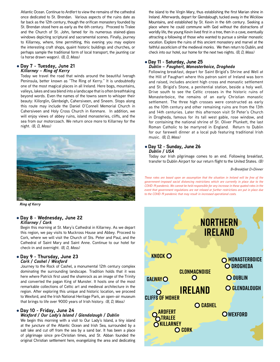Atlantic Ocean. Continue to Ardfert to view the remains of the cathedral once dedicated to St. Brendan. Various aspects of the ruins date as far back as the 12th century, though the orifican monastery founded by St. Brendan stood here as early as the 6th century. Proceed to Tralee and the Church of St. John, famed for its numerous stained-glass windows depicting scriptural and sacramental scenes. Finally, journey to Killarney, where, time permitting, this evening you may explore the interesting craft shops, quaint historic buildings and churches, or perhaps sample the traditional form of local transport, the jaunting car (a horse drawn wagon). *(B, D, Mass)*

#### l **Day 7 - Tuesday, June 21** *Killarney – Ring of Kerry*

Today we travel the road that winds around the beautiful Iveragh Peninsula, better known as "The Ring of Kerry." It is undoubtedly one of the most magical places in all Ireland. Here bogs, mountains, valleys, lakes and sea blend into a landscape that is often breathtaking beyond words. Even the names of the towns seem to whisper their beauty: Killorglin, Glenbeigh, Cahersiveen, and Sneem. Stops along this route may include the Daniel O'Connell Memorial Church in Cahersiveen and Holy Cross Church in Kenmare. In addition, we will enjoy views of abbey ruins, island monasteries, cliffs, and the sea from our motorcoach. We return once more to Killarney for the night. *(B, D, Mass)*



*Ring of Kerry*

#### l **Day 8 - Wednesday, June 22** *Killarney / Cork*

Begin this morning at St. Mary's Cathedral in Killarney. As we depart this region, we pay visits to Muckross House and Abbey. Proceed to Cork, where we will visit the Church of Sts. Peter and Paul, and the Cathedral of Saint Mary and Saint Anne. Continue to our hotel for check-in and overnight. *(B, D, Mass)*

#### l **Day 9 - Thursday, June 23** *Cork / Cashel / Wexford*

Journey to the Rock of Cashel, a monumental 12th century complex dominating the surrounding landscape. Tradition holds that it was here where Patrick first used the shamrock as an image of the Trinity and converted the pagan King of Munster. It hosts one of the most remarkable collections of Celtic art and medieval architecture in the region. After exploring this unique and historic location, we proceed to Wexford, and the Irish National Heritage Park, an open-air museum that brings to life over 9000 years of Irish history. *(B, D, Mass)*

## l **Day 10 - Friday, June 24**

#### *Wexford / Our Lady's Island / Glendalough / Dublin*

We begin this morning with a visit to Our Lady's Island, a tiny island at the juncture of the Atlantic Ocean and Irish Sea, surrounded by a salt lake and cut off from the sea by a sand bar. It has been a place of pilgrimage since pre-Christian times, and St. Abban founded the original Christian settlement here, evangelizing the area and dedicating the island to the Virgin Mary, thus establishing the first Marian shine in Ireland. Afterwards, depart for Glendalough, tucked away in the Wicklow Mountains, and established by St. Kevin in the 6th century. Seeking a place where he could commune with God without the distractions of worldly life, the young Kevin lived first in a tree, then in a cave, eventually attracting a following of those who wanted to pursue a similar monastic vocation. Explore the ruins of this ancient monastery and marvel at the faithful asceticism of the medieval monks. We then return to Dublin, and check into our hotel, our home for the next two nights. *(B, D, Mass)*

#### l **Day 11 - Saturday, June 25** *Dublin – Faughert, Monasterboice, Drogheda*

Following breakfast, depart for Saint Brigid's Shrine and Well at the Hill of Faughart where this patron saint of Ireland was born and raised, includes ancient high cross and monastic settlement and St. Brigid's Stone, a penitential station, beside a holy well. Drive south to see the Celtic crosses in the historic ruins of Monasterboice, the remains of an early Christian monastic settlement. The three high crosses were constructed as early as the 10th century and other remaining ruins are from the 13th and 14th centuries. Later this afternoon visit St Peter's Church in Drogheda, famous for its tall west gable, rose window, and for containing the national shrine of St. Oliver Plunkett, the last Roman Catholic to be martyred in England. Return to Dublin for our farewell dinner at a local pub featuring traditional Irish music. *(B, D, Mass)*

#### l **Day 12 - Sunday, June 26** *Dublin / USA*

Today our Irish pilgrimage comes to an end. Following breakfast, transfer to Dublin Airport for our return flight to the United States. *(B)*

*B=Breakfast D=Dinner*

*These rates are based upon an assumption that the situation in Ireland will be free of the government-imposed social distancing restrictions which are currently in place due to the COVID-19 pandemic. We cannot be held responsible for any increase in these quoted rates in the event that government regulations are not relaxed or further restrictions are put in place due to the COVID-19 pandemic that may result in increased operational costs.*